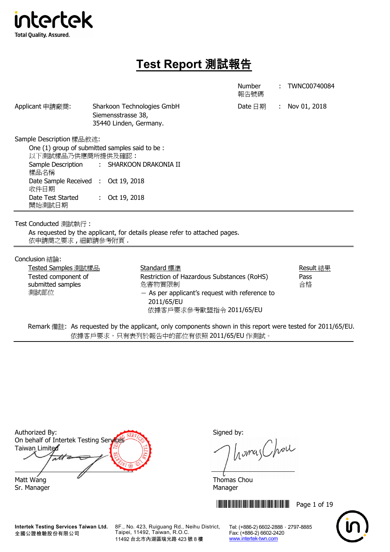

# **Test Report** 測試報告

|                                                                                                                                                                                                                                                             |                                                                            |                                                                                                                                                                  | <b>Number</b><br>報告號碼 |  | TWNC00740084            |  |  |
|-------------------------------------------------------------------------------------------------------------------------------------------------------------------------------------------------------------------------------------------------------------|----------------------------------------------------------------------------|------------------------------------------------------------------------------------------------------------------------------------------------------------------|-----------------------|--|-------------------------|--|--|
| Applicant 申請廠商:                                                                                                                                                                                                                                             | Sharkoon Technologies GmbH<br>Siemensstrasse 38,<br>35440 Linden, Germany. |                                                                                                                                                                  | Date $\boxdot$ 期      |  | : Nov 01, 2018          |  |  |
| Sample Description 樣品敘述:<br>One (1) group of submitted samples said to be:<br>以下測試樣品乃供應商所提供及確認:<br>Sample Description<br>: SHARKOON DRAKONIA II<br>樣品名稱<br>Date Sample Received : Oct 19, 2018<br>收件日期<br>Date Test Started<br>Oct 19, 2018<br>t.<br>開始測試日期 |                                                                            |                                                                                                                                                                  |                       |  |                         |  |  |
| Test Conducted 測試執行:<br>依申請商之要求,細節請參考附頁.                                                                                                                                                                                                                    |                                                                            | As requested by the applicant, for details please refer to attached pages.                                                                                       |                       |  |                         |  |  |
| Conclusion 結論:<br>Tested Samples 測試樣品<br>Tested component of<br>submitted samples<br>測試部位                                                                                                                                                                   |                                                                            | Standard 標準<br>Restriction of Hazardous Substances (RoHS)<br>危害物質限制<br>$-$ As per applicant's request with reference to<br>2011/65/EU<br>依據客戶要求參考歐盟指令 2011/65/EU |                       |  | Result 結果<br>Pass<br>合格 |  |  |

Remark 備註: As requested by the applicant, only components shown in this report were tested for 2011/65/EU. 依據客戶要求,只有表列於報告中的部位有依照 2011/65/EU 作測試。

Authorized By: Signed by: On behalf of Intertek Testing Service Taiwan Limited ati Matt Wang **Thomas Chou** 

**Intertek Testing Services Taiwan Ltd.** 全國公證檢驗股份有限公司

8F., No. 423, Ruiguang Rd., Neihu District, Taipei, 11492, Taiwan, R.O.C. 11492 台北市內湖區瑞光路 423 號 8 樓

homas Chou

**THEFT READERS IN THE FULL SET IN 1999** 



Sr. Manager Manager Manager Manager Manager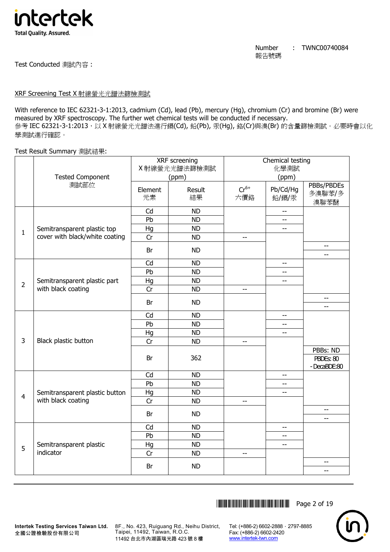

Test Conducted 測試內容 :

## XRF Screening Test X 射線螢光光譜法篩檢測試

With reference to IEC 62321-3-1:2013, cadmium (Cd), lead (Pb), mercury (Hg), chromium (Cr) and bromine (Br) were measured by XRF spectroscopy. The further wet chemical tests will be conducted if necessary. 參考 IEC 62321-3-1:2013,以 X 射線螢光光譜法進行鎘(Cd), 鉛(Pb), 汞(Hg), 鉻(Cr)與溴(Br) 的含量篩檢測試。必要時會以化 學測試進行確認。

Test Result Summary 測試結果:

| 化學測試<br>X 射線螢光光譜法篩檢測試<br>(ppm)<br><b>Tested Component</b><br>(ppm)<br>測試部位<br>$Cr^{6+}$<br>Pb/Cd/Hg<br>Result<br>Element<br>元素<br>結果<br>鉛/鎘/汞<br>六價鉻<br>Cd<br><b>ND</b><br>$-$<br>Pb<br><b>ND</b><br>$-$<br><b>ND</b><br>Semitransparent plastic top<br>Hg<br>$-$<br>$\mathbf{1}$<br>cover with black/white coating<br>Cr<br><b>ND</b><br>$-$<br>Br<br><b>ND</b><br>Cd<br><b>ND</b><br>$-$<br>Pb<br><b>ND</b><br>--<br>Hg<br><b>ND</b><br>Semitransparent plastic part<br>$-$<br>$\overline{2}$<br>with black coating<br>Cr<br><b>ND</b><br>$-$<br>Br<br><b>ND</b><br>Cd<br><b>ND</b><br>--<br>Pb<br><b>ND</b><br>$-$<br>Hg<br><b>ND</b><br>$-$<br>3<br>Black plastic button<br>Cr<br><b>ND</b><br>$- -$<br>362<br>Br<br>Cd<br><b>ND</b><br>--<br>Pb<br><b>ND</b><br>--<br>Hg<br><b>ND</b><br>Semitransparent plastic button<br>$-$<br>$\overline{4}$<br>with black coating<br>Cr<br><b>ND</b><br>$-$<br>Br<br><b>ND</b> |                                      |
|--------------------------------------------------------------------------------------------------------------------------------------------------------------------------------------------------------------------------------------------------------------------------------------------------------------------------------------------------------------------------------------------------------------------------------------------------------------------------------------------------------------------------------------------------------------------------------------------------------------------------------------------------------------------------------------------------------------------------------------------------------------------------------------------------------------------------------------------------------------------------------------------------------------------------|--------------------------------------|
|                                                                                                                                                                                                                                                                                                                                                                                                                                                                                                                                                                                                                                                                                                                                                                                                                                                                                                                          |                                      |
|                                                                                                                                                                                                                                                                                                                                                                                                                                                                                                                                                                                                                                                                                                                                                                                                                                                                                                                          | PBBs/PBDEs                           |
|                                                                                                                                                                                                                                                                                                                                                                                                                                                                                                                                                                                                                                                                                                                                                                                                                                                                                                                          | 多溴聯苯/多<br>溴聯苯醚                       |
|                                                                                                                                                                                                                                                                                                                                                                                                                                                                                                                                                                                                                                                                                                                                                                                                                                                                                                                          |                                      |
|                                                                                                                                                                                                                                                                                                                                                                                                                                                                                                                                                                                                                                                                                                                                                                                                                                                                                                                          |                                      |
|                                                                                                                                                                                                                                                                                                                                                                                                                                                                                                                                                                                                                                                                                                                                                                                                                                                                                                                          |                                      |
|                                                                                                                                                                                                                                                                                                                                                                                                                                                                                                                                                                                                                                                                                                                                                                                                                                                                                                                          |                                      |
|                                                                                                                                                                                                                                                                                                                                                                                                                                                                                                                                                                                                                                                                                                                                                                                                                                                                                                                          | $-$<br>$-$                           |
|                                                                                                                                                                                                                                                                                                                                                                                                                                                                                                                                                                                                                                                                                                                                                                                                                                                                                                                          |                                      |
|                                                                                                                                                                                                                                                                                                                                                                                                                                                                                                                                                                                                                                                                                                                                                                                                                                                                                                                          |                                      |
|                                                                                                                                                                                                                                                                                                                                                                                                                                                                                                                                                                                                                                                                                                                                                                                                                                                                                                                          |                                      |
|                                                                                                                                                                                                                                                                                                                                                                                                                                                                                                                                                                                                                                                                                                                                                                                                                                                                                                                          |                                      |
|                                                                                                                                                                                                                                                                                                                                                                                                                                                                                                                                                                                                                                                                                                                                                                                                                                                                                                                          | $\overline{\phantom{a}}$<br>$-$      |
|                                                                                                                                                                                                                                                                                                                                                                                                                                                                                                                                                                                                                                                                                                                                                                                                                                                                                                                          |                                      |
|                                                                                                                                                                                                                                                                                                                                                                                                                                                                                                                                                                                                                                                                                                                                                                                                                                                                                                                          |                                      |
|                                                                                                                                                                                                                                                                                                                                                                                                                                                                                                                                                                                                                                                                                                                                                                                                                                                                                                                          |                                      |
|                                                                                                                                                                                                                                                                                                                                                                                                                                                                                                                                                                                                                                                                                                                                                                                                                                                                                                                          |                                      |
|                                                                                                                                                                                                                                                                                                                                                                                                                                                                                                                                                                                                                                                                                                                                                                                                                                                                                                                          | PBBs: ND<br>PBDEs: 80<br>-DecaBDE:80 |
|                                                                                                                                                                                                                                                                                                                                                                                                                                                                                                                                                                                                                                                                                                                                                                                                                                                                                                                          |                                      |
|                                                                                                                                                                                                                                                                                                                                                                                                                                                                                                                                                                                                                                                                                                                                                                                                                                                                                                                          |                                      |
|                                                                                                                                                                                                                                                                                                                                                                                                                                                                                                                                                                                                                                                                                                                                                                                                                                                                                                                          |                                      |
|                                                                                                                                                                                                                                                                                                                                                                                                                                                                                                                                                                                                                                                                                                                                                                                                                                                                                                                          |                                      |
|                                                                                                                                                                                                                                                                                                                                                                                                                                                                                                                                                                                                                                                                                                                                                                                                                                                                                                                          | $-$<br>$-$                           |
| Cd<br><b>ND</b><br>$-$                                                                                                                                                                                                                                                                                                                                                                                                                                                                                                                                                                                                                                                                                                                                                                                                                                                                                                   |                                      |
| Pb<br><b>ND</b><br>$-$                                                                                                                                                                                                                                                                                                                                                                                                                                                                                                                                                                                                                                                                                                                                                                                                                                                                                                   |                                      |
| Hg<br><b>ND</b><br>Semitransparent plastic<br>$-$<br>5                                                                                                                                                                                                                                                                                                                                                                                                                                                                                                                                                                                                                                                                                                                                                                                                                                                                   |                                      |
| indicator<br>Cr<br><b>ND</b><br>$-$                                                                                                                                                                                                                                                                                                                                                                                                                                                                                                                                                                                                                                                                                                                                                                                                                                                                                      |                                      |
| <b>ND</b><br>Br                                                                                                                                                                                                                                                                                                                                                                                                                                                                                                                                                                                                                                                                                                                                                                                                                                                                                                          | $\overline{\phantom{a}}$<br>$-$      |

**THEFT READERS THE THILLET READER IN 1999** Page 2 of 19



8F., No. 423, Ruiguang Rd., Neihu District, Taipei, 11492, Taiwan, R.O.C. 11492 台北市內湖區瑞光路 423 號 8 樓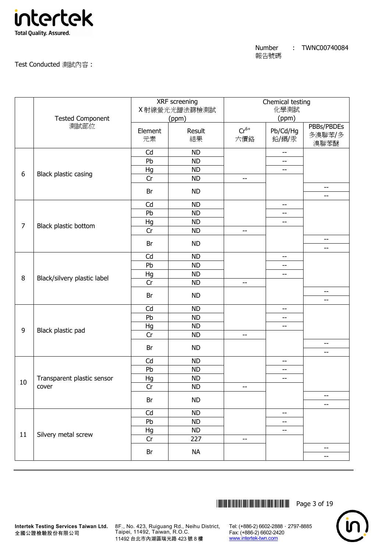

Test Conducted 測試內容 :

|                |                             |               | XRF screening<br>X 射線螢光光譜法篩檢測試 |                  | Chemical testing<br>化學測試 |                                                     |
|----------------|-----------------------------|---------------|--------------------------------|------------------|--------------------------|-----------------------------------------------------|
|                | <b>Tested Component</b>     |               | (ppm)                          |                  | (ppm)                    |                                                     |
|                | 測試部位                        | Element<br>元素 | Result<br>結果                   | $Cr^{6+}$<br>六價鉻 | Pb/Cd/Hg<br>鉛/鎘/汞        | PBBs/PBDEs<br>多溴聯苯/多<br>溴聯苯醚                        |
|                |                             | Cd            | <b>ND</b>                      |                  | $\overline{\phantom{a}}$ |                                                     |
|                |                             | Pb            | <b>ND</b>                      |                  | --                       |                                                     |
| 6              | Black plastic casing        | Hg            | <b>ND</b>                      |                  | $\overline{\phantom{a}}$ |                                                     |
|                |                             | Cr            | <b>ND</b>                      | $- -$            |                          |                                                     |
|                |                             | Br            | <b>ND</b>                      |                  |                          | $\overline{\phantom{a}}$<br>--                      |
|                |                             | Cd            | <b>ND</b>                      |                  | --                       |                                                     |
|                |                             | Pb            | <b>ND</b>                      |                  | --                       |                                                     |
| $\overline{7}$ |                             | Hg            | <b>ND</b>                      |                  | $-$                      |                                                     |
|                | Black plastic bottom        | Cr            | <b>ND</b>                      | --               |                          |                                                     |
|                |                             | Br            | <b>ND</b>                      |                  |                          | $-\!$ –<br>$-$                                      |
|                |                             | Cd            | <b>ND</b>                      |                  | --                       |                                                     |
|                | Black/silvery plastic label | Pb            | <b>ND</b>                      |                  | --                       |                                                     |
|                |                             | Hg            | <b>ND</b>                      |                  | $ -$                     |                                                     |
| 8              |                             | Cr            | <b>ND</b>                      | $- -$            |                          |                                                     |
|                |                             | Br            | <b>ND</b>                      |                  |                          | $-$<br>--                                           |
|                |                             | Cd            | <b>ND</b>                      |                  | $-$                      |                                                     |
|                |                             | Pb            | <b>ND</b>                      |                  | $-\!$                    |                                                     |
|                |                             | Hg            | <b>ND</b>                      |                  | --                       |                                                     |
| 9              | Black plastic pad           | Cr            | <b>ND</b>                      | $- -$            |                          |                                                     |
|                |                             |               |                                |                  |                          | --                                                  |
|                |                             | Br            | <b>ND</b>                      |                  |                          | --                                                  |
|                |                             | Cd            | <b>ND</b>                      |                  | $- -$                    |                                                     |
|                |                             | Pb            | <b>ND</b>                      |                  | --                       |                                                     |
|                | Transparent plastic sensor  | Hg            | <b>ND</b>                      |                  | $- -$                    |                                                     |
| 10             | cover                       | Cr            | <b>ND</b>                      | --               |                          |                                                     |
|                |                             | Br            | <b>ND</b>                      |                  |                          | $-$                                                 |
|                |                             |               |                                |                  |                          | $-$                                                 |
|                |                             | Cd<br>Pb      | <b>ND</b><br><b>ND</b>         |                  | --                       |                                                     |
|                |                             | Hg            | <b>ND</b>                      |                  | --<br>--                 |                                                     |
| $11\,$         | Silvery metal screw         | Cr            | 227                            | --               |                          |                                                     |
|                |                             | Br            | <b>NA</b>                      |                  |                          | $\hspace{0.05cm} -\hspace{0.05cm} -\hspace{0.05cm}$ |
|                |                             |               |                                |                  |                          | --                                                  |
|                |                             |               |                                |                  |                          |                                                     |



**Intertek Testing Services Taiwan Ltd.** 8F., No. 423, Ruiguang Rd., Neihu District, Taipei, 11492, Taiwan, R.O.C. 11492 台北市內湖區瑞光路 423 號 8 樓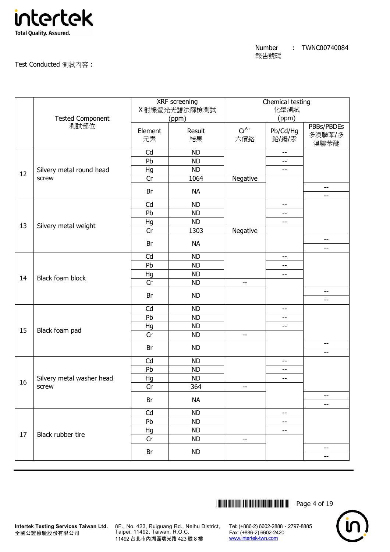

Test Conducted 測試內容 :

|    |                           |               | XRF screening<br>X 射線螢光光譜法篩檢測試 |                  | Chemical testing<br>化學測試 |                                                      |
|----|---------------------------|---------------|--------------------------------|------------------|--------------------------|------------------------------------------------------|
|    | <b>Tested Component</b>   |               | (ppm)                          |                  | (ppm)                    |                                                      |
|    | 測試部位                      | Element<br>元素 | Result<br>結果                   | $Cr^{6+}$<br>六價鉻 | Pb/Cd/Hg<br>鉛/鎘/汞        | PBBs/PBDEs<br>多溴聯苯/多<br>溴聯苯醚                         |
|    |                           | Cd            | <b>ND</b>                      |                  | $\overline{\phantom{m}}$ |                                                      |
|    |                           | Pb            | <b>ND</b>                      |                  | --                       |                                                      |
| 12 | Silvery metal round head  | Hg            | <b>ND</b>                      |                  | $\overline{\phantom{a}}$ |                                                      |
|    | screw                     | Cr            | 1064                           | Negative         |                          |                                                      |
|    |                           | Br            | <b>NA</b>                      |                  |                          | $\overline{\phantom{a}}$<br>$\overline{\phantom{a}}$ |
|    |                           | Cd            | <b>ND</b>                      |                  | --                       |                                                      |
|    |                           | Pb            | <b>ND</b>                      |                  | --                       |                                                      |
| 13 | Silvery metal weight      | Hg            | <b>ND</b>                      |                  | $-$                      |                                                      |
|    |                           | Cr            | 1303                           | Negative         |                          |                                                      |
|    |                           | Br            | <b>NA</b>                      |                  |                          | $-\!$ –<br>$-$                                       |
|    |                           | Cd            | <b>ND</b>                      |                  | --                       |                                                      |
|    |                           | Pb            | <b>ND</b>                      |                  | --                       |                                                      |
|    | Black foam block          | Hg            | <b>ND</b>                      |                  | $- -$                    |                                                      |
| 14 |                           | Cr            | <b>ND</b>                      | $- -$            |                          |                                                      |
|    |                           | Br            | <b>ND</b>                      |                  |                          | $-$<br>--                                            |
|    |                           | Cd            | <b>ND</b>                      |                  | $-$                      |                                                      |
|    |                           | Pb            | <b>ND</b>                      |                  | --                       |                                                      |
|    |                           | Hg            | <b>ND</b>                      |                  | --                       |                                                      |
| 15 | Black foam pad            | Cr            | <b>ND</b>                      | $-$              |                          |                                                      |
|    |                           | Br            | <b>ND</b>                      |                  |                          | --<br>$-$                                            |
|    |                           | Cd            | <b>ND</b>                      |                  | $- -$                    |                                                      |
|    |                           | Pb            | <b>ND</b>                      |                  | --                       |                                                      |
|    | Silvery metal washer head | Hg            | <b>ND</b>                      |                  | $- -$                    |                                                      |
| 16 | screw                     | Cr            | 364                            | --               |                          |                                                      |
|    |                           | Br            | <b>NA</b>                      |                  |                          | --                                                   |
|    |                           | Cd            | <b>ND</b>                      |                  | --                       | $-$                                                  |
|    |                           | Pb            | <b>ND</b>                      |                  | --                       |                                                      |
|    |                           | Hg            | <b>ND</b>                      |                  | --                       |                                                      |
| 17 | Black rubber tire         | Cr            | <b>ND</b>                      | $- -$            |                          |                                                      |
|    |                           | Br            | <b>ND</b>                      |                  |                          | $-\!$                                                |
|    |                           |               |                                |                  |                          | --                                                   |



**Intertek Testing Services Taiwan Ltd.** 8F., No. 423, Ruiguang Rd., Neihu District, Taipei, 11492, Taiwan, R.O.C. 11492 台北市內湖區瑞光路 423 號 8 樓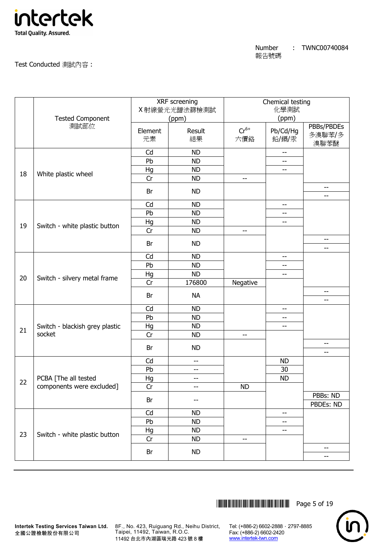

Test Conducted 測試內容 :

|    |                                |               | XRF screening<br>X 射線螢光光譜法篩檢測試 |                  | Chemical testing<br>化學測試 |                              |
|----|--------------------------------|---------------|--------------------------------|------------------|--------------------------|------------------------------|
|    | <b>Tested Component</b>        |               | (ppm)                          |                  | (ppm)                    |                              |
|    | 測試部位                           | Element<br>元素 | Result<br>結果                   | $Cr^{6+}$<br>六價鉻 | Pb/Cd/Hg<br>鉛/鎘/汞        | PBBs/PBDEs<br>多溴聯苯/多<br>溴聯苯醚 |
|    |                                | Cd            | <b>ND</b>                      |                  | $\overline{\phantom{m}}$ |                              |
|    |                                | Pb            | <b>ND</b>                      |                  | --                       |                              |
| 18 | White plastic wheel            | Hg            | <b>ND</b>                      |                  | $\overline{\phantom{a}}$ |                              |
|    |                                | Cr            | <b>ND</b>                      | $- -$            |                          |                              |
|    |                                | Br            | <b>ND</b>                      |                  |                          | $-\!$ –<br>--                |
|    |                                | Cd            | <b>ND</b>                      |                  | --                       |                              |
|    |                                | Pb            | <b>ND</b>                      |                  | --                       |                              |
| 19 |                                | Hg            | <b>ND</b>                      |                  | $-$                      |                              |
|    | Switch - white plastic button  | Cr            | <b>ND</b>                      | $- -$            |                          |                              |
|    |                                | Br            | <b>ND</b>                      |                  |                          | $-\!$ –<br>$-$               |
|    |                                | Cd            | <b>ND</b>                      |                  | --                       |                              |
|    |                                | Pb            | <b>ND</b>                      |                  | --                       |                              |
|    | Switch - silvery metal frame   | Hg            | <b>ND</b>                      |                  | $ -$                     |                              |
| 20 |                                | Cr            | 176800                         | Negative         |                          |                              |
|    |                                | Br            | <b>NA</b>                      |                  |                          | --<br>--                     |
|    |                                | Cd            | <b>ND</b>                      |                  | --                       |                              |
|    |                                | Pb            | <b>ND</b>                      |                  | --                       |                              |
|    | Switch - blackish grey plastic | Hg            | <b>ND</b>                      |                  | --                       |                              |
| 21 | socket                         | Cr            | <b>ND</b>                      | --               |                          |                              |
|    |                                |               |                                |                  |                          | --                           |
|    |                                | Br            | <b>ND</b>                      |                  |                          | $-$                          |
|    |                                | Cd            | $-\hbox{--}$                   |                  | <b>ND</b>                |                              |
|    |                                | Pb            | $- -$                          |                  | 30                       |                              |
| 22 | PCBA [The all tested           | Hg            | $-$                            |                  | <b>ND</b>                |                              |
|    | components were excluded]      | Cr            | $\overline{\phantom{m}}$       | <b>ND</b>        |                          |                              |
|    |                                | Br            | --                             |                  |                          | PBBs: ND<br>PBDEs: ND        |
|    |                                | Cd            | <b>ND</b>                      |                  | --                       |                              |
|    |                                | Pb            | <b>ND</b>                      |                  | --                       |                              |
|    |                                | Hg            | <b>ND</b>                      |                  | --                       |                              |
| 23 | Switch - white plastic button  | Cr            | <b>ND</b>                      | $- -$            |                          |                              |
|    |                                | Br            | <b>ND</b>                      |                  |                          | $-\!$<br>--                  |
|    |                                |               |                                |                  |                          |                              |



**Intertek Testing Services Taiwan Ltd.** 8F., No. 423, Ruiguang Rd., Neihu District, Taipei, 11492, Taiwan, R.O.C. 11492 台北市內湖區瑞光路 423 號 8 樓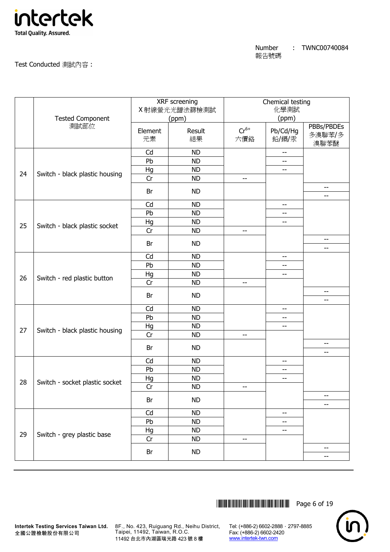

Test Conducted 測試內容 :

| 測試部位<br>PBBs/PBDEs<br>$Cr^{6+}$<br>Pb/Cd/Hg<br>Result<br>Element<br>多溴聯苯/多<br>結果<br>六價鉻<br>鉛/鎘/汞<br>元素<br>溴聯苯醚<br>Cd<br><b>ND</b><br>$\overline{\phantom{m}}$<br>Pb<br><b>ND</b><br>--<br>Hg<br><b>ND</b><br>$-$<br>Switch - black plastic housing<br>24<br>Cr<br><b>ND</b><br>$-$<br>$- -$<br>Br<br><b>ND</b><br>--<br>Cd<br><b>ND</b><br>$ -$<br>Pb<br><b>ND</b><br>--<br>Hg<br><b>ND</b><br>--<br>25<br>Switch - black plastic socket<br>Cr<br><b>ND</b><br>--<br>$\qquad \qquad -$<br><b>ND</b><br>Br<br>--<br>Cd<br><b>ND</b><br>$-$<br>Pb<br><b>ND</b><br>--<br>Hg<br><b>ND</b><br>--<br>26<br>Switch - red plastic button<br>Cr<br><b>ND</b><br>$- -$<br>--<br>Br<br><b>ND</b><br>--<br>Cd<br><b>ND</b><br>$-\, -$<br>Pb<br><b>ND</b><br>$-$<br>Hg<br><b>ND</b><br>--<br>27<br>Switch - black plastic housing<br>Cr<br><b>ND</b><br>--<br>$\qquad \qquad -$<br>Br<br><b>ND</b><br>--<br>Cd<br><b>ND</b><br>--<br>Pb<br><b>ND</b><br>--<br>Hg<br><b>ND</b><br>$-$<br>28<br>Switch - socket plastic socket<br>Cr<br><b>ND</b><br>--<br>$-\!$<br><b>ND</b><br>Br<br>--<br>Cd<br><b>ND</b><br>--<br>Pb<br><b>ND</b><br>--<br>Hg<br><b>ND</b><br>--<br>29<br>Switch - grey plastic base<br>Cr<br><b>ND</b><br>--<br>$\overline{\phantom{a}}$<br><b>ND</b><br>Br<br>-- |  | <b>Tested Component</b> | XRF screening<br>X射線螢光光譜法篩檢測試<br>(ppm) | Chemical testing<br>化學測試<br>(ppm) |  |
|-------------------------------------------------------------------------------------------------------------------------------------------------------------------------------------------------------------------------------------------------------------------------------------------------------------------------------------------------------------------------------------------------------------------------------------------------------------------------------------------------------------------------------------------------------------------------------------------------------------------------------------------------------------------------------------------------------------------------------------------------------------------------------------------------------------------------------------------------------------------------------------------------------------------------------------------------------------------------------------------------------------------------------------------------------------------------------------------------------------------------------------------------------------------------------------------------------------------------------------------------------------------------|--|-------------------------|----------------------------------------|-----------------------------------|--|
|                                                                                                                                                                                                                                                                                                                                                                                                                                                                                                                                                                                                                                                                                                                                                                                                                                                                                                                                                                                                                                                                                                                                                                                                                                                                         |  |                         |                                        |                                   |  |
|                                                                                                                                                                                                                                                                                                                                                                                                                                                                                                                                                                                                                                                                                                                                                                                                                                                                                                                                                                                                                                                                                                                                                                                                                                                                         |  |                         |                                        |                                   |  |
|                                                                                                                                                                                                                                                                                                                                                                                                                                                                                                                                                                                                                                                                                                                                                                                                                                                                                                                                                                                                                                                                                                                                                                                                                                                                         |  |                         |                                        |                                   |  |
|                                                                                                                                                                                                                                                                                                                                                                                                                                                                                                                                                                                                                                                                                                                                                                                                                                                                                                                                                                                                                                                                                                                                                                                                                                                                         |  |                         |                                        |                                   |  |
|                                                                                                                                                                                                                                                                                                                                                                                                                                                                                                                                                                                                                                                                                                                                                                                                                                                                                                                                                                                                                                                                                                                                                                                                                                                                         |  |                         |                                        |                                   |  |
|                                                                                                                                                                                                                                                                                                                                                                                                                                                                                                                                                                                                                                                                                                                                                                                                                                                                                                                                                                                                                                                                                                                                                                                                                                                                         |  |                         |                                        |                                   |  |
|                                                                                                                                                                                                                                                                                                                                                                                                                                                                                                                                                                                                                                                                                                                                                                                                                                                                                                                                                                                                                                                                                                                                                                                                                                                                         |  |                         |                                        |                                   |  |
|                                                                                                                                                                                                                                                                                                                                                                                                                                                                                                                                                                                                                                                                                                                                                                                                                                                                                                                                                                                                                                                                                                                                                                                                                                                                         |  |                         |                                        |                                   |  |
|                                                                                                                                                                                                                                                                                                                                                                                                                                                                                                                                                                                                                                                                                                                                                                                                                                                                                                                                                                                                                                                                                                                                                                                                                                                                         |  |                         |                                        |                                   |  |
|                                                                                                                                                                                                                                                                                                                                                                                                                                                                                                                                                                                                                                                                                                                                                                                                                                                                                                                                                                                                                                                                                                                                                                                                                                                                         |  |                         |                                        |                                   |  |
|                                                                                                                                                                                                                                                                                                                                                                                                                                                                                                                                                                                                                                                                                                                                                                                                                                                                                                                                                                                                                                                                                                                                                                                                                                                                         |  |                         |                                        |                                   |  |
|                                                                                                                                                                                                                                                                                                                                                                                                                                                                                                                                                                                                                                                                                                                                                                                                                                                                                                                                                                                                                                                                                                                                                                                                                                                                         |  |                         |                                        |                                   |  |
|                                                                                                                                                                                                                                                                                                                                                                                                                                                                                                                                                                                                                                                                                                                                                                                                                                                                                                                                                                                                                                                                                                                                                                                                                                                                         |  |                         |                                        |                                   |  |
|                                                                                                                                                                                                                                                                                                                                                                                                                                                                                                                                                                                                                                                                                                                                                                                                                                                                                                                                                                                                                                                                                                                                                                                                                                                                         |  |                         |                                        |                                   |  |
|                                                                                                                                                                                                                                                                                                                                                                                                                                                                                                                                                                                                                                                                                                                                                                                                                                                                                                                                                                                                                                                                                                                                                                                                                                                                         |  |                         |                                        |                                   |  |
|                                                                                                                                                                                                                                                                                                                                                                                                                                                                                                                                                                                                                                                                                                                                                                                                                                                                                                                                                                                                                                                                                                                                                                                                                                                                         |  |                         |                                        |                                   |  |
|                                                                                                                                                                                                                                                                                                                                                                                                                                                                                                                                                                                                                                                                                                                                                                                                                                                                                                                                                                                                                                                                                                                                                                                                                                                                         |  |                         |                                        |                                   |  |
|                                                                                                                                                                                                                                                                                                                                                                                                                                                                                                                                                                                                                                                                                                                                                                                                                                                                                                                                                                                                                                                                                                                                                                                                                                                                         |  |                         |                                        |                                   |  |
|                                                                                                                                                                                                                                                                                                                                                                                                                                                                                                                                                                                                                                                                                                                                                                                                                                                                                                                                                                                                                                                                                                                                                                                                                                                                         |  |                         |                                        |                                   |  |
|                                                                                                                                                                                                                                                                                                                                                                                                                                                                                                                                                                                                                                                                                                                                                                                                                                                                                                                                                                                                                                                                                                                                                                                                                                                                         |  |                         |                                        |                                   |  |
|                                                                                                                                                                                                                                                                                                                                                                                                                                                                                                                                                                                                                                                                                                                                                                                                                                                                                                                                                                                                                                                                                                                                                                                                                                                                         |  |                         |                                        |                                   |  |
|                                                                                                                                                                                                                                                                                                                                                                                                                                                                                                                                                                                                                                                                                                                                                                                                                                                                                                                                                                                                                                                                                                                                                                                                                                                                         |  |                         |                                        |                                   |  |
|                                                                                                                                                                                                                                                                                                                                                                                                                                                                                                                                                                                                                                                                                                                                                                                                                                                                                                                                                                                                                                                                                                                                                                                                                                                                         |  |                         |                                        |                                   |  |
|                                                                                                                                                                                                                                                                                                                                                                                                                                                                                                                                                                                                                                                                                                                                                                                                                                                                                                                                                                                                                                                                                                                                                                                                                                                                         |  |                         |                                        |                                   |  |
|                                                                                                                                                                                                                                                                                                                                                                                                                                                                                                                                                                                                                                                                                                                                                                                                                                                                                                                                                                                                                                                                                                                                                                                                                                                                         |  |                         |                                        |                                   |  |
|                                                                                                                                                                                                                                                                                                                                                                                                                                                                                                                                                                                                                                                                                                                                                                                                                                                                                                                                                                                                                                                                                                                                                                                                                                                                         |  |                         |                                        |                                   |  |
|                                                                                                                                                                                                                                                                                                                                                                                                                                                                                                                                                                                                                                                                                                                                                                                                                                                                                                                                                                                                                                                                                                                                                                                                                                                                         |  |                         |                                        |                                   |  |
|                                                                                                                                                                                                                                                                                                                                                                                                                                                                                                                                                                                                                                                                                                                                                                                                                                                                                                                                                                                                                                                                                                                                                                                                                                                                         |  |                         |                                        |                                   |  |
|                                                                                                                                                                                                                                                                                                                                                                                                                                                                                                                                                                                                                                                                                                                                                                                                                                                                                                                                                                                                                                                                                                                                                                                                                                                                         |  |                         |                                        |                                   |  |
|                                                                                                                                                                                                                                                                                                                                                                                                                                                                                                                                                                                                                                                                                                                                                                                                                                                                                                                                                                                                                                                                                                                                                                                                                                                                         |  |                         |                                        |                                   |  |
|                                                                                                                                                                                                                                                                                                                                                                                                                                                                                                                                                                                                                                                                                                                                                                                                                                                                                                                                                                                                                                                                                                                                                                                                                                                                         |  |                         |                                        |                                   |  |
|                                                                                                                                                                                                                                                                                                                                                                                                                                                                                                                                                                                                                                                                                                                                                                                                                                                                                                                                                                                                                                                                                                                                                                                                                                                                         |  |                         |                                        |                                   |  |



**Intertek Testing Services Taiwan Ltd.** 8F., No. 423, Ruiguang Rd., Neihu District, Taipei, 11492, Taiwan, R.O.C. 11492 台北市內湖區瑞光路 423 號 8 樓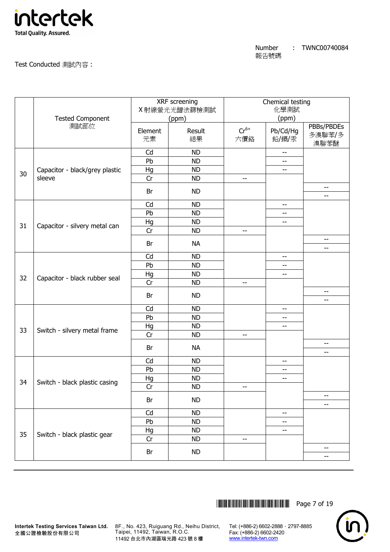

Test Conducted 測試內容 :

|    | <b>Tested Component</b>        |               | XRF screening<br>X射線螢光光譜法篩檢測試<br>(ppm) |                  | Chemical testing<br>化學測試<br>(ppm) |                                |
|----|--------------------------------|---------------|----------------------------------------|------------------|-----------------------------------|--------------------------------|
|    | 測試部位                           | Element<br>元素 | Result<br>結果                           | $Cr^{6+}$<br>六價鉻 | Pb/Cd/Hg<br>鉛/鎘/汞                 | PBBs/PBDEs<br>多溴聯苯/多<br>溴聯苯醚   |
|    |                                | Cd            | <b>ND</b>                              |                  | $\overline{\phantom{a}}$          |                                |
|    |                                | Pb            | <b>ND</b>                              |                  | --                                |                                |
| 30 | Capacitor - black/grey plastic | Hg            | <b>ND</b>                              |                  | $-$                               |                                |
|    | sleeve                         | Cr            | <b>ND</b>                              | $- -$            |                                   |                                |
|    |                                | Br            | <b>ND</b>                              |                  |                                   | $\overline{\phantom{m}}$<br>-- |
|    |                                | Cd            | <b>ND</b>                              |                  | $-$                               |                                |
|    |                                | Pb            | <b>ND</b>                              |                  | --                                |                                |
| 31 |                                | Hg            | <b>ND</b>                              |                  | --                                |                                |
|    | Capacitor - silvery metal can  | Cr            | <b>ND</b>                              | --               |                                   |                                |
|    |                                | Br            | <b>NA</b>                              |                  |                                   | $- -$<br>--                    |
|    |                                | Cd            | <b>ND</b>                              |                  | $-$                               |                                |
|    | Capacitor - black rubber seal  | Pb            | <b>ND</b>                              |                  | --                                |                                |
|    |                                | Hg            | <b>ND</b>                              |                  | --                                |                                |
| 32 |                                | Cr            | <b>ND</b>                              | $-$              |                                   |                                |
|    |                                | Br            | <b>ND</b>                              |                  |                                   | --<br>--                       |
|    |                                | Cd            | <b>ND</b>                              |                  | --                                |                                |
|    |                                | Pb            | <b>ND</b>                              |                  | --                                |                                |
|    |                                | Hg            | <b>ND</b>                              |                  | $-$                               |                                |
| 33 | Switch - silvery metal frame   | Cr            | <b>ND</b>                              | $-$              |                                   |                                |
|    |                                | Br            | <b>NA</b>                              |                  |                                   | --<br>$-$                      |
|    |                                | Cd            | <b>ND</b>                              |                  | --                                |                                |
|    |                                | Pb            | <b>ND</b>                              |                  | --                                |                                |
|    |                                | Hg            | <b>ND</b>                              |                  | --                                |                                |
| 34 | Switch - black plastic casing  | Cr            | <b>ND</b>                              | --               |                                   |                                |
|    |                                | Br            | <b>ND</b>                              |                  |                                   | $-\!$                          |
|    |                                |               |                                        |                  |                                   | --                             |
|    |                                | Cd            | <b>ND</b>                              |                  | --                                |                                |
|    |                                | Pb            | <b>ND</b>                              |                  | --                                |                                |
| 35 | Switch - black plastic gear    | Hg            | <b>ND</b>                              |                  | $-$                               |                                |
|    |                                | Cr            | <b>ND</b>                              | $- -$            |                                   |                                |
|    |                                | Br            | <b>ND</b>                              |                  |                                   | $\qquad \qquad -$<br>--        |



**Intertek Testing Services Taiwan Ltd.** 8F., No. 423, Ruiguang Rd., Neihu District, Taipei, 11492, Taiwan, R.O.C. 11492 台北市內湖區瑞光路 423 號 8 樓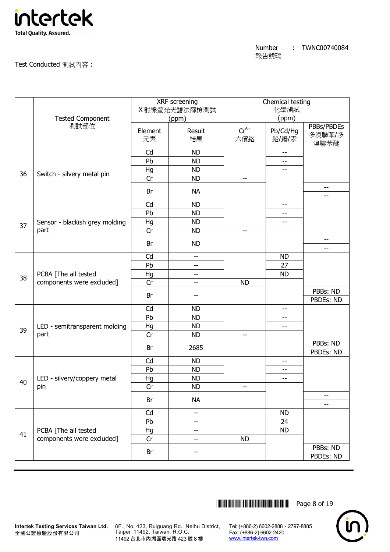

Test Conducted 測試內容 :

|    | <b>Tested Component</b>                           | XRF screening<br>X 射線螢光光譜法篩檢測試<br>(ppm) |                          |                  | Chemical testing<br>化學測試<br>(ppm) |                                             |  |  |
|----|---------------------------------------------------|-----------------------------------------|--------------------------|------------------|-----------------------------------|---------------------------------------------|--|--|
|    | 測試部位                                              | Element<br>元素                           | Result<br>結果             | $Cr^{6+}$<br>六價鉻 | Pb/Cd/Hg<br>鉛/鎘/汞                 | PBBs/PBDEs<br>多溴聯苯/多<br>溴聯苯醚                |  |  |
|    |                                                   | Cd                                      | <b>ND</b>                |                  | $-$                               |                                             |  |  |
|    |                                                   | Pb                                      | <b>ND</b>                |                  | --                                |                                             |  |  |
| 36 | Switch - silvery metal pin                        | Hg                                      | <b>ND</b>                |                  | --                                |                                             |  |  |
|    |                                                   | Cr                                      | <b>ND</b>                | --               |                                   |                                             |  |  |
|    |                                                   | Br                                      | <b>NA</b>                |                  |                                   | $-$<br>$-$                                  |  |  |
|    |                                                   | Cd                                      | <b>ND</b>                |                  | $-$                               |                                             |  |  |
|    |                                                   | Pb                                      | <b>ND</b>                |                  | --                                |                                             |  |  |
| 37 | Sensor - blackish grey molding                    | Hg                                      | <b>ND</b>                |                  | --                                |                                             |  |  |
|    | part                                              | Cr                                      | <b>ND</b>                | --               |                                   |                                             |  |  |
|    |                                                   | Br                                      | <b>ND</b>                |                  |                                   | $\hspace{0.05cm}$ – $\hspace{0.05cm}$<br>-- |  |  |
|    |                                                   | Cd                                      | $-$                      |                  | <b>ND</b>                         |                                             |  |  |
|    | PCBA [The all tested<br>components were excluded] | Pb                                      | $-$                      |                  | 27                                |                                             |  |  |
|    |                                                   | Hg                                      | $\overline{\phantom{a}}$ |                  | <b>ND</b>                         |                                             |  |  |
| 38 |                                                   | Cr                                      | $-$                      | <b>ND</b>        |                                   |                                             |  |  |
|    |                                                   | Br                                      | --                       |                  |                                   | PBBs: ND<br>PBDEs: ND                       |  |  |
|    |                                                   | Cd                                      | <b>ND</b>                |                  | --                                |                                             |  |  |
|    |                                                   | Pb                                      | <b>ND</b>                |                  | --                                |                                             |  |  |
|    | LED - semitransparent molding                     | Hg                                      | <b>ND</b>                |                  | --                                |                                             |  |  |
| 39 | part                                              | Cr                                      | <b>ND</b>                | $-$              |                                   |                                             |  |  |
|    |                                                   | Br                                      | 2685                     |                  |                                   | PBBs: ND<br>PBDEs: ND                       |  |  |
|    |                                                   | Cd                                      | <b>ND</b>                |                  | $-$                               |                                             |  |  |
|    |                                                   | Pb                                      | <b>ND</b>                |                  | --                                |                                             |  |  |
|    | LED - silvery/coppery metal                       | Hg                                      | <b>ND</b>                |                  | --                                |                                             |  |  |
| 40 | pin                                               | Cr                                      | <b>ND</b>                | --               |                                   |                                             |  |  |
|    |                                                   | Br                                      | <b>NA</b>                |                  |                                   | $\overline{\phantom{a}}$<br>--              |  |  |
|    |                                                   | Cd                                      | $\overline{\phantom{m}}$ |                  | <b>ND</b>                         |                                             |  |  |
|    |                                                   | Pb                                      | --                       |                  | 24                                |                                             |  |  |
|    | PCBA [The all tested                              | Hg                                      | $-$                      |                  | <b>ND</b>                         |                                             |  |  |
| 41 | components were excluded]                         | Cr                                      | $- -$                    | <b>ND</b>        |                                   |                                             |  |  |
|    |                                                   | Br                                      | $-$                      |                  |                                   | PBBs: ND<br>PBDEs: ND                       |  |  |



**Intertek Testing Services Taiwan Ltd.** 8F., No. 423, Ruiguang Rd., Neihu District, Taipei, 11492, Taiwan, R.O.C. 11492 台北市內湖區瑞光路 423 號 8 樓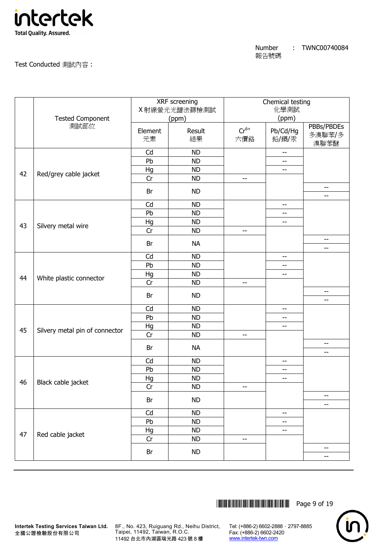

Test Conducted 測試內容 :

|    |                                |               | XRF screening<br>X射線螢光光譜法篩檢測試 |                   | Chemical testing<br>化學測試 |                                                     |
|----|--------------------------------|---------------|-------------------------------|-------------------|--------------------------|-----------------------------------------------------|
|    | <b>Tested Component</b>        |               | (ppm)                         |                   | (ppm)                    |                                                     |
|    | 測試部位                           | Element<br>元素 | Result<br>結果                  | $Cr^{6+}$<br>六價鉻  | Pb/Cd/Hg<br>鉛/鎘/汞        | PBBs/PBDEs<br>多溴聯苯/多<br>溴聯苯醚                        |
|    |                                | Cd            | <b>ND</b>                     |                   | $\overline{\phantom{m}}$ |                                                     |
|    |                                | Pb            | <b>ND</b>                     |                   | $-$                      |                                                     |
| 42 | Red/grey cable jacket          | Hg            | <b>ND</b>                     |                   | $- -$                    |                                                     |
|    |                                | Cr            | <b>ND</b>                     | $- -$             |                          |                                                     |
|    |                                | Br            | <b>ND</b>                     |                   |                          | $-\!$ –<br>$-$                                      |
|    |                                | Cd            | <b>ND</b>                     |                   | --                       |                                                     |
|    |                                | Pb            | <b>ND</b>                     |                   | --                       |                                                     |
|    |                                | Hg            | <b>ND</b>                     |                   | $-$                      |                                                     |
| 43 | Silvery metal wire             | Cr            | <b>ND</b>                     | $\qquad \qquad -$ |                          |                                                     |
|    |                                | Br            | <b>NA</b>                     |                   |                          | $\overline{\phantom{a}}$<br>--                      |
|    |                                | Cd            | <b>ND</b>                     |                   | --                       |                                                     |
|    |                                | Pb            | <b>ND</b>                     |                   | --                       |                                                     |
|    | White plastic connector        | Hg            | <b>ND</b>                     |                   | $-$                      |                                                     |
| 44 |                                | Cr            | <b>ND</b>                     | $- -$             |                          |                                                     |
|    |                                | Br            | <b>ND</b>                     |                   |                          | --<br>--                                            |
|    |                                | Cd            | <b>ND</b>                     |                   | --                       |                                                     |
|    |                                | Pb            | <b>ND</b>                     |                   | --                       |                                                     |
|    |                                | Hg            | <b>ND</b>                     |                   | --                       |                                                     |
| 45 | Silvery metal pin of connector | Cr            | <b>ND</b>                     | --                |                          |                                                     |
|    |                                |               |                               |                   |                          | --                                                  |
|    |                                | Br            | <b>NA</b>                     |                   |                          | $-$                                                 |
|    |                                | Cd            | <b>ND</b>                     |                   | $ -$                     |                                                     |
|    |                                | Pb            | <b>ND</b>                     |                   | --                       |                                                     |
| 46 | Black cable jacket             | Hg            | <b>ND</b>                     |                   | $ -$                     |                                                     |
|    |                                | Cr            | <b>ND</b>                     | --                |                          |                                                     |
|    |                                | Br            | <b>ND</b>                     |                   |                          | $-$<br>--                                           |
|    |                                | Cd            | <b>ND</b>                     |                   | --                       |                                                     |
|    |                                | Pb            | <b>ND</b>                     |                   | --                       |                                                     |
|    |                                | Hg            | <b>ND</b>                     |                   | --                       |                                                     |
| 47 | Red cable jacket               | Cr            | <b>ND</b>                     | --                |                          |                                                     |
|    |                                | Br            | <b>ND</b>                     |                   |                          | $\hspace{0.05cm} -\hspace{0.05cm} -\hspace{0.05cm}$ |
|    |                                |               |                               |                   |                          | --                                                  |



**Intertek Testing Services Taiwan Ltd.** 8F., No. 423, Ruiguang Rd., Neihu District, Taipei, 11492, Taiwan, R.O.C. 11492 台北市內湖區瑞光路 423 號 8 樓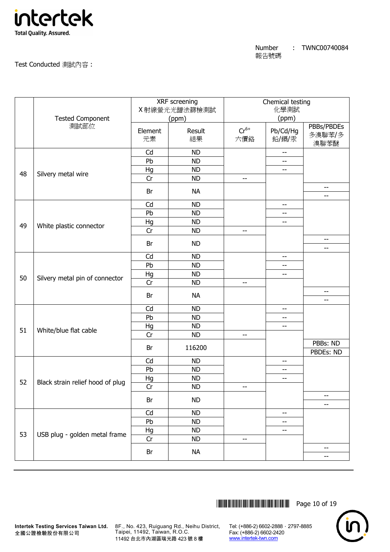

Test Conducted 測試內容 :

|    | <b>Tested Component</b>          |               | XRF screening<br>X射線螢光光譜法篩檢測試<br>(ppm) |                  | Chemical testing<br>化學測試<br>(ppm) |                                |
|----|----------------------------------|---------------|----------------------------------------|------------------|-----------------------------------|--------------------------------|
|    | 測試部位                             | Element<br>元素 | Result<br>結果                           | $Cr^{6+}$<br>六價鉻 | Pb/Cd/Hg<br>鉛/鎘/汞                 | PBBs/PBDEs<br>多溴聯苯/多<br>溴聯苯醚   |
|    |                                  | Cd            | <b>ND</b>                              |                  | $\overline{\phantom{a}}$          |                                |
|    |                                  | Pb            | <b>ND</b>                              |                  | --                                |                                |
| 48 | Silvery metal wire               | Hg            | <b>ND</b>                              |                  | $-$                               |                                |
|    |                                  | Cr            | <b>ND</b>                              | $-$              |                                   |                                |
|    |                                  | Br            | <b>NA</b>                              |                  |                                   | $- -$<br>$-$                   |
|    |                                  | Cd            | <b>ND</b>                              |                  | $ -$                              |                                |
|    |                                  | Pb            | <b>ND</b>                              |                  | --                                |                                |
| 49 |                                  | Hg            | <b>ND</b>                              |                  | --                                |                                |
|    | White plastic connector          | Cr            | <b>ND</b>                              | --               |                                   |                                |
|    |                                  | Br            | <b>ND</b>                              |                  |                                   | --<br>--                       |
|    |                                  | Cd            | <b>ND</b>                              |                  | $-$                               |                                |
|    | Silvery metal pin of connector   | Pb            | <b>ND</b>                              |                  | --                                |                                |
|    |                                  | Hg            | <b>ND</b>                              |                  | --                                |                                |
| 50 |                                  | Cr            | <b>ND</b>                              | $- -$            |                                   |                                |
|    |                                  | Br            | <b>NA</b>                              |                  |                                   | --<br>--                       |
|    |                                  | Cd            | <b>ND</b>                              |                  | $\overline{\phantom{a}}$          |                                |
|    |                                  | Pb            | <b>ND</b>                              |                  | $-$                               |                                |
|    |                                  | Hg            | <b>ND</b>                              |                  | --                                |                                |
| 51 | White/blue flat cable            | Cr            | <b>ND</b>                              | --               |                                   |                                |
|    |                                  |               |                                        |                  |                                   | PBBs: ND                       |
|    |                                  | Br            | 116200                                 |                  |                                   | PBDEs: ND                      |
|    |                                  | Cd            | <b>ND</b>                              |                  | --                                |                                |
|    |                                  | Pb            | <b>ND</b>                              |                  | --                                |                                |
| 52 | Black strain relief hood of plug | Hg            | <b>ND</b>                              |                  | $-$                               |                                |
|    |                                  | Cr            | <b>ND</b>                              | --               |                                   |                                |
|    |                                  | Br            | <b>ND</b>                              |                  |                                   | --<br>--                       |
|    |                                  | Cd            | <b>ND</b>                              |                  | --                                |                                |
|    |                                  | Pb            | <b>ND</b>                              |                  | --                                |                                |
|    |                                  | Hg            | <b>ND</b>                              |                  | --                                |                                |
| 53 | USB plug - golden metal frame    | Cr            | <b>ND</b>                              | --               |                                   |                                |
|    |                                  | Br            | <b>NA</b>                              |                  |                                   | $\overline{\phantom{a}}$<br>-- |
|    |                                  |               |                                        |                  |                                   |                                |



全國公證檢驗股份有限公司

**Intertek Testing Services Taiwan Ltd.** 8F., No. 423, Ruiguang Rd., Neihu District, Taipei, 11492, Taiwan, R.O.C. 11492 台北市內湖區瑞光路 423 號 8 樓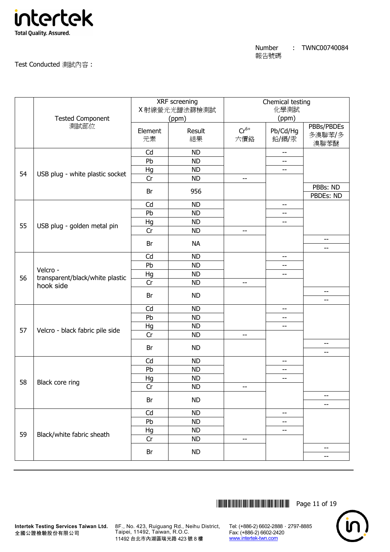

Test Conducted 測試內容 :

|    | <b>Tested Component</b>                                  |               | XRF screening<br>X 射線螢光光譜法篩檢測試<br>(ppm) |                          | Chemical testing<br>化學測試<br>(ppm)     |                              |
|----|----------------------------------------------------------|---------------|-----------------------------------------|--------------------------|---------------------------------------|------------------------------|
|    | 測試部位                                                     | Element<br>元素 | Result<br>結果                            | $Cr^{6+}$<br>六價鉻         | Pb/Cd/Hg<br>鉛/鎘/汞                     | PBBs/PBDEs<br>多溴聯苯/多<br>溴聯苯醚 |
|    |                                                          | Cd            | <b>ND</b>                               |                          | $- -$                                 |                              |
|    |                                                          | Pb            | <b>ND</b>                               |                          | $-$                                   |                              |
| 54 | USB plug - white plastic socket                          | Hg            | <b>ND</b>                               |                          | --                                    |                              |
|    |                                                          | Cr            | <b>ND</b>                               | $-$                      |                                       |                              |
|    |                                                          | Br            | 956                                     |                          |                                       | PBBs: ND<br>PBDEs: ND        |
|    |                                                          | Cd            | <b>ND</b>                               |                          | $- -$                                 |                              |
|    |                                                          | Pb            | <b>ND</b>                               |                          | $\hspace{0.05cm}$ – $\hspace{0.05cm}$ |                              |
|    |                                                          | Hg            | <b>ND</b>                               |                          | $\overline{\phantom{m}}$              |                              |
| 55 | USB plug - golden metal pin                              | Cr            | <b>ND</b>                               | --                       |                                       |                              |
|    |                                                          | Br            | <b>NA</b>                               |                          |                                       | $-\!$<br>--                  |
|    |                                                          | Cd            | <b>ND</b>                               |                          | $-$                                   |                              |
|    | Velcro -<br>transparent/black/white plastic<br>hook side | Pb            | <b>ND</b>                               |                          | $-$                                   |                              |
|    |                                                          | Hg            | <b>ND</b>                               |                          | $\overline{\phantom{m}}$              |                              |
| 56 |                                                          | Cr            | <b>ND</b>                               | $\overline{\phantom{a}}$ |                                       |                              |
|    |                                                          | Br            | <b>ND</b>                               |                          |                                       | --<br>$-$                    |
|    |                                                          | Cd            | <b>ND</b>                               |                          | --                                    |                              |
|    |                                                          | Pb            | <b>ND</b>                               |                          | $ \!-$                                |                              |
|    |                                                          | Hg            | <b>ND</b>                               |                          | $\overline{\phantom{m}}$              |                              |
| 57 | Velcro - black fabric pile side                          | Cr            | <b>ND</b>                               | --                       |                                       |                              |
|    |                                                          |               |                                         |                          |                                       | $-$                          |
|    |                                                          | Br            | <b>ND</b>                               |                          |                                       | --                           |
|    |                                                          | Cd            | <b>ND</b>                               |                          | $- -$                                 |                              |
|    |                                                          | Pb            | <b>ND</b>                               |                          | $\overline{\phantom{a}}$              |                              |
|    |                                                          | Hg            | <b>ND</b>                               |                          | $\overline{\phantom{m}}$              |                              |
| 58 | Black core ring                                          | Cr            | <b>ND</b>                               | --                       |                                       |                              |
|    |                                                          | Br            | <b>ND</b>                               |                          |                                       | --                           |
|    |                                                          |               | <b>ND</b>                               |                          |                                       | --                           |
|    |                                                          | Cd<br>Pb      | <b>ND</b>                               |                          | --                                    |                              |
|    |                                                          |               | <b>ND</b>                               |                          | --                                    |                              |
| 59 | Black/white fabric sheath                                | Hg<br>Cr      | <b>ND</b>                               | --                       | --                                    |                              |
|    |                                                          |               |                                         |                          |                                       | $-\!$                        |
|    |                                                          | Br            | <b>ND</b>                               |                          |                                       | --                           |
|    |                                                          |               |                                         |                          |                                       |                              |



**Intertek Testing Services Taiwan Ltd.** 8F., No. 423, Ruiguang Rd., Neihu District, Taipei, 11492, Taiwan, R.O.C. 11492 台北市內湖區瑞光路 423 號 8 樓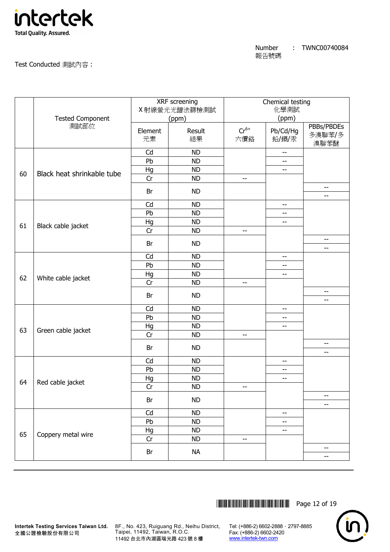

Test Conducted 測試內容 :

|    | <b>Tested Component</b>    |               | XRF screening<br>X射線螢光光譜法篩檢測試<br>(ppm) |                  | Chemical testing<br>化學測試<br>(ppm) |                              |
|----|----------------------------|---------------|----------------------------------------|------------------|-----------------------------------|------------------------------|
|    | 測試部位                       | Element<br>元素 | Result<br>結果                           | $Cr^{6+}$<br>六價鉻 | Pb/Cd/Hg<br>鉛/鎘/汞                 | PBBs/PBDEs<br>多溴聯苯/多<br>溴聯苯醚 |
|    |                            | Cd            | <b>ND</b>                              |                  | $\overline{\phantom{m}}$          |                              |
|    |                            | Pb            | <b>ND</b>                              |                  | --                                |                              |
| 60 | Black heat shrinkable tube | Hg            | <b>ND</b>                              |                  | $\overline{\phantom{m}}$          |                              |
|    |                            | Cr            | <b>ND</b>                              | --               |                                   |                              |
|    |                            | Br            | <b>ND</b>                              |                  |                                   | $-\!$<br>$-$                 |
|    |                            | Cd            | <b>ND</b>                              |                  | --                                |                              |
|    |                            | Pb            | <b>ND</b>                              |                  | --                                |                              |
|    |                            | Hg            | <b>ND</b>                              |                  | --                                |                              |
| 61 | Black cable jacket         | Cr            | <b>ND</b>                              | $-$              |                                   |                              |
|    |                            | Br            | <b>ND</b>                              |                  |                                   | $-\!$<br>$-$                 |
|    |                            | Cd            | <b>ND</b>                              |                  | --                                |                              |
|    |                            | Pb            | <b>ND</b>                              |                  | $-$                               |                              |
|    |                            | Hg            | <b>ND</b>                              |                  | $-$                               |                              |
| 62 | White cable jacket         | Cr            | <b>ND</b>                              | --               |                                   |                              |
|    |                            | Br            | <b>ND</b>                              |                  |                                   | --<br>--                     |
|    |                            | Cd            | <b>ND</b>                              |                  | --                                |                              |
|    |                            | Pb            | <b>ND</b>                              |                  | --                                |                              |
|    |                            | Hg            | <b>ND</b>                              |                  | --                                |                              |
| 63 | Green cable jacket         | Cr            | <b>ND</b>                              | --               |                                   |                              |
|    |                            | Br            | <b>ND</b>                              |                  |                                   | --                           |
|    |                            |               |                                        |                  |                                   | --                           |
|    |                            | Cd            | <b>ND</b>                              |                  | $ -$                              |                              |
|    |                            | Pb            | <b>ND</b>                              |                  | --                                |                              |
| 64 | Red cable jacket           | Hg            | <b>ND</b>                              |                  | $-$                               |                              |
|    |                            | Cr            | <b>ND</b>                              | --               |                                   |                              |
|    |                            | Br            | <b>ND</b>                              |                  |                                   | --<br>--                     |
|    |                            | Cd            | <b>ND</b>                              |                  | --                                |                              |
|    |                            | Pb            | <b>ND</b>                              |                  | --                                |                              |
|    |                            | Hg            | <b>ND</b>                              |                  | $-$                               |                              |
| 65 | Coppery metal wire         | Cr            | <b>ND</b>                              | $- -$            |                                   |                              |
|    |                            | Br            | <b>NA</b>                              |                  |                                   | $-\!$<br>--                  |
|    |                            |               |                                        |                  |                                   |                              |



**Intertek Testing Services Taiwan Ltd.** 8F., No. 423, Ruiguang Rd., Neihu District, Taipei, 11492, Taiwan, R.O.C. 11492 台北市內湖區瑞光路 423 號 8 樓

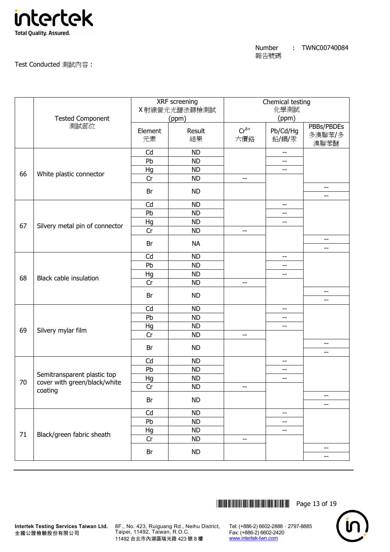

Test Conducted 測試內容 :

|    | <b>Tested Component</b>                                                                             | XRF screening<br>X 射線螢光光譜法篩檢測試<br>(ppm) |              | Chemical testing<br>化學測試<br>(ppm) |                          |                                                           |
|----|-----------------------------------------------------------------------------------------------------|-----------------------------------------|--------------|-----------------------------------|--------------------------|-----------------------------------------------------------|
|    | 測試部位                                                                                                | Element<br>元素                           | Result<br>結果 | $Cr^{6+}$<br>六價鉻                  | Pb/Cd/Hg<br>鉛/鎘/汞        | PBBs/PBDEs<br>多溴聯苯/多<br>溴聯苯醚                              |
|    |                                                                                                     | Cd                                      | <b>ND</b>    |                                   | $\overline{\phantom{m}}$ |                                                           |
| 66 | White plastic connector                                                                             | Pb                                      | <b>ND</b>    |                                   | --                       |                                                           |
|    |                                                                                                     | Hg                                      | <b>ND</b>    |                                   | $- -$                    |                                                           |
|    |                                                                                                     | Cr                                      | <b>ND</b>    | $-$                               |                          |                                                           |
|    |                                                                                                     | Br                                      | <b>ND</b>    |                                   |                          | $-\!$ –<br>$-$                                            |
|    |                                                                                                     | Cd                                      | <b>ND</b>    |                                   | --                       |                                                           |
|    |                                                                                                     | Pb                                      | <b>ND</b>    |                                   | --                       |                                                           |
| 67 |                                                                                                     | Hg                                      | <b>ND</b>    |                                   | $-$                      |                                                           |
|    | Silvery metal pin of connector                                                                      | Cr                                      | <b>ND</b>    | $-$                               |                          |                                                           |
|    |                                                                                                     | Br                                      | <b>NA</b>    |                                   |                          | $\overline{\phantom{a}}$<br>--                            |
|    |                                                                                                     | Cd                                      | <b>ND</b>    |                                   | --                       |                                                           |
|    |                                                                                                     | Pb                                      | <b>ND</b>    |                                   | --                       |                                                           |
|    |                                                                                                     | Hg                                      | <b>ND</b>    |                                   | $-$                      |                                                           |
| 68 | <b>Black cable insulation</b>                                                                       | Cr                                      | <b>ND</b>    | $- -$                             |                          |                                                           |
|    |                                                                                                     | Br                                      | <b>ND</b>    |                                   |                          | --<br>--                                                  |
|    | Silvery mylar film                                                                                  | Cd                                      | <b>ND</b>    |                                   | --                       |                                                           |
|    |                                                                                                     | Pb                                      | <b>ND</b>    |                                   | --                       |                                                           |
|    |                                                                                                     | Hg                                      | <b>ND</b>    |                                   | --                       |                                                           |
| 69 |                                                                                                     | Cr                                      | <b>ND</b>    | --                                |                          |                                                           |
|    |                                                                                                     | Br                                      | <b>ND</b>    |                                   |                          | --<br>$-$                                                 |
|    |                                                                                                     | Cd                                      | <b>ND</b>    |                                   | $- -$                    |                                                           |
|    | Semitransparent plastic top<br>cover with green/black/white<br>coating<br>Black/green fabric sheath | Pb                                      | <b>ND</b>    |                                   | --                       |                                                           |
|    |                                                                                                     | Hg                                      | <b>ND</b>    |                                   | $-$                      |                                                           |
| 70 |                                                                                                     | Cr                                      | <b>ND</b>    | --                                |                          |                                                           |
|    |                                                                                                     | Br                                      | <b>ND</b>    |                                   |                          | $-$                                                       |
|    |                                                                                                     |                                         |              |                                   |                          | --                                                        |
| 71 |                                                                                                     | Cd                                      | <b>ND</b>    |                                   | --                       |                                                           |
|    |                                                                                                     | Pb                                      | <b>ND</b>    |                                   | --                       |                                                           |
|    |                                                                                                     | Hg                                      | <b>ND</b>    |                                   | --                       |                                                           |
|    |                                                                                                     | Cr                                      | <b>ND</b>    | --                                |                          |                                                           |
|    |                                                                                                     | Br                                      | <b>ND</b>    |                                   |                          | $\hspace{0.05cm} -\hspace{0.05cm} -\hspace{0.05cm}$<br>-- |



Taipei, 11492, Taiwan, R.O.C. 11492 台北市內湖區瑞光路 423 號 8 樓

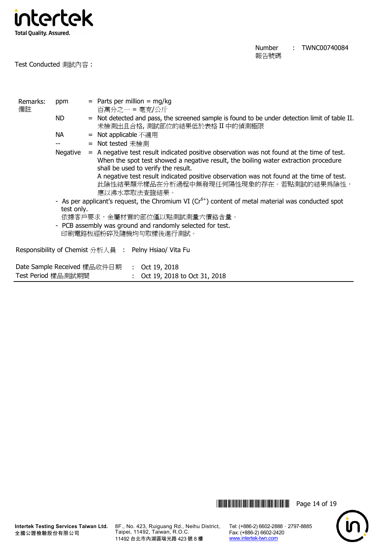

Test Conducted 測試內容 :

Number 報告號碼 : TWNC00740084

| Remarks:<br>備註                                            | ppm                                                                                                   | $=$ Parts per million $=$ mg/kg<br>百萬分之一 = 毫克/公斤                                                                                                                                                                         |  |  |
|-----------------------------------------------------------|-------------------------------------------------------------------------------------------------------|--------------------------------------------------------------------------------------------------------------------------------------------------------------------------------------------------------------------------|--|--|
|                                                           | ND.                                                                                                   | = Not detected and pass, the screened sample is found to be under detection limit of table II.<br>未檢測出且合格,測試部位的結果低於表格 II 中的偵測極限                                                                                          |  |  |
|                                                           | NА                                                                                                    | <b>Not applicable</b> 不適用<br>$=$                                                                                                                                                                                         |  |  |
|                                                           |                                                                                                       | = Not tested 未檢測                                                                                                                                                                                                         |  |  |
|                                                           | Negative                                                                                              | = A negative test result indicated positive observation was not found at the time of test.<br>When the spot test showed a negative result, the boiling water extraction procedure<br>shall be used to verify the result. |  |  |
|                                                           |                                                                                                       | A negative test result indicated positive observation was not found at the time of test.<br>此陰性結果顯示樣品在分析過程中無發現任何陽性現象的存在。若點測試的結果爲陰性,<br>應以沸水萃取法查證結果。                                                                      |  |  |
|                                                           | - As per applicant's request, the Chromium VI ( $Cr6+$ ) content of metal material was conducted spot |                                                                                                                                                                                                                          |  |  |
|                                                           | test only.                                                                                            |                                                                                                                                                                                                                          |  |  |
| 依據客戶要求,金屬材質的部位僅以點測試測量六價鉻含量。                               |                                                                                                       |                                                                                                                                                                                                                          |  |  |
| - PCB assembly was ground and randomly selected for test. |                                                                                                       |                                                                                                                                                                                                                          |  |  |
|                                                           |                                                                                                       | 印刷電路板經粉碎及隨機均勻取樣後進行測試。                                                                                                                                                                                                    |  |  |
|                                                           |                                                                                                       | Responsibility of Chemist 分析人員 : Pelny Hsiao/ Vita Fu                                                                                                                                                                    |  |  |
|                                                           |                                                                                                       | Date Sample Received 樣品收件日期<br>: Oct 19, 2018                                                                                                                                                                            |  |  |
| Test Period 樣品測試期間                                        |                                                                                                       | : Oct 19, 2018 to Oct 31, 2018                                                                                                                                                                                           |  |  |

\*THJ0740084\* Page 14 of 19



全國公證檢驗股份有限公司

**Intertek Testing Services Taiwan Ltd.** 8F., No. 423, Ruiguang Rd., Neihu District, Taipei, 11492, Taiwan, R.O.C. 11492 台北市內湖區瑞光路 423 號 8 樓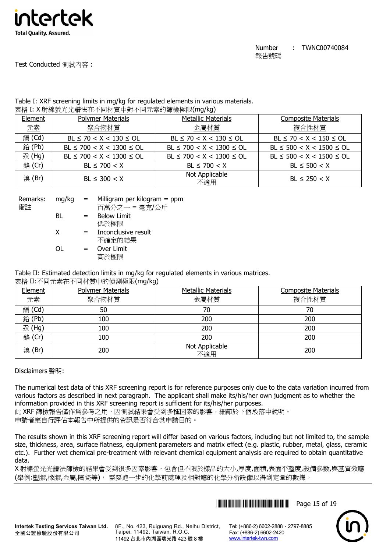

# Test Conducted 測試內容 :

#### Table I: XRF screening limits in mg/kg for regulated elements in various materials. 表格 I: X 射線螢光光譜法在不同材質中對不同元素的篩檢極限(mg/kg)

| Element | <b>Polymer Materials</b>       | <b>Metallic Materials</b>      | <b>Composite Materials</b>     |
|---------|--------------------------------|--------------------------------|--------------------------------|
| 元素      | 聚合物材質                          | 金屬材質                           | 複合性材質                          |
| 鎘 (Cd)  | $BL \le 70 < X < 130 \le OL$   | $BL \le 70 < X < 130 \le OL$   | $BL \le 70 < X < 150 \le OL$   |
| 鉛(Pb)   | $BL \le 700 < X < 1300 \le OL$ | $BL \le 700 < X < 1300 \le OL$ | $BL \le 500 < X < 1500 \le OL$ |
| 汞 (Hg)  | $BL \le 700 < X < 1300 \le OL$ | $BL \le 700 < X < 1300 \le OL$ | $BL \le 500 < X < 1500 \le OL$ |
| 銘 (Cr)  | $BL \le 700 < X$               | $BL \le 700 < X$               | $BL \le 500 < X$               |
| 溴(Br)   | $BL \leq 300 < X$              | Not Applicable<br>不適用          | $BL \le 250 < X$               |

| Remarks:<br>備註 | mg/kg | $=$ | Milligram per kilogram $=$ ppm<br>百萬分之一 = 毫克/公斤 |
|----------------|-------|-----|-------------------------------------------------|
|                | BL    | $=$ | <b>Below Limit</b>                              |
|                |       |     | 低於極限                                            |
|                | X     | $=$ | Inconclusive result                             |
|                |       |     | 不確定的結果                                          |
|                | ∩L    | $=$ | Over Limit                                      |
|                |       |     | 高於極限                                            |

# Table II: Estimated detection limits in mg/kg for regulated elements in various matrices.

表格 II:不同元素在不同材質中的偵測極限(mg/kg)

| Element | <b>Polymer Materials</b> | <b>Metallic Materials</b> | <b>Composite Materials</b> |
|---------|--------------------------|---------------------------|----------------------------|
| 元素      | 聚合物材質                    | 金屬材質                      | 複合性材質                      |
| 鎘 (Cd)  | 50                       | 70                        | 70                         |
| 鉛(Pb)   | 100                      | 200                       | 200                        |
| 汞(Hg)   | 100                      | 200                       | 200                        |
| 銘 (Cr)  | 100                      | 200                       | 200                        |
| 溴(Br)   | 200                      | Not Applicable<br>不適用     | 200                        |

# Disclaimers 聲明:

The numerical test data of this XRF screening report is for reference purposes only due to the data variation incurred from various factors as described in next paragraph. The applicant shall make its/his/her own judgment as to whether the information provided in this XRF screening report is sufficient for its/his/her purposes.

此 XRF 篩檢報告僅作為參考之用,因測試結果會受到多種因素的影響,細節於下個段落中說明。 申請者應自行評估本報告中所提供的資訊是否符合其申請目的。

The results shown in this XRF screening report will differ based on various factors, including but not limited to, the sample size, thickness, area, surface flatness, equipment parameters and matrix effect (e.g. plastic, rubber, metal, glass, ceramic etc.). Further wet chemical pre-treatment with relevant chemical equipment analysis are required to obtain quantitative data.

X 射線螢光光譜法篩檢的結果會受到很多因素影響,包含但不限於樣品的大小,厚度,面積,表面平整度,設備參數,與基質效應 (舉例:塑膠,橡膠,金屬,陶瓷等), 需要進一步的化學前處理及相對應的化學分析設備以得到定量的數據。





8F., No. 423, Ruiguang Rd., Neihu District, Taipei, 11492, Taiwan, R.O.C. 11492 台北市內湖區瑞光路 423 號 8 樓

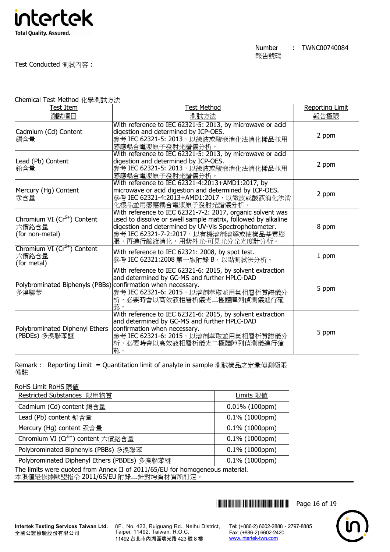

## Test Conducted 測試內容 :

Chemical Test Method 化學測試方法

| Test Item                                                            | <b>Test Method</b>                                                                                                                                                                                                                                          | <b>Reporting Limit</b> |
|----------------------------------------------------------------------|-------------------------------------------------------------------------------------------------------------------------------------------------------------------------------------------------------------------------------------------------------------|------------------------|
| 測試項目                                                                 | 測試方法                                                                                                                                                                                                                                                        | 報告極限                   |
| Cadmium (Cd) Content<br>鎘含量                                          | With reference to IEC 62321-5: 2013, by microwave or acid<br>digestion and determined by ICP-OES.<br>參考 IEC 62321-5: 2013, 以微波或酸液消化法消化樣品並用<br>感應耦合電漿原子發射光譜儀分析。                                                                                              | 2 ppm                  |
| Lead (Pb) Content<br>鉛含量                                             | With reference to IEC 62321-5: 2013, by microwave or acid<br>digestion and determined by ICP-OES.<br>參考 IEC 62321-5: 2013, 以微波或酸液消化法消化樣品並用<br>感應耦合電漿原子發射光譜儀分析。                                                                                              | 2 ppm                  |
| Mercury (Hg) Content<br>汞含量                                          | With reference to IEC 62321-4:2013+AMD1:2017, by<br>microwave or acid digestion and determined by ICP-OES.<br>參考 IEC 62321-4:2013+AMD1:2017,以微波或酸液消化法消<br>化樣品並用感應耦合電漿原子發射光譜儀分析。                                                                             | 2 ppm                  |
| Chromium VI (Cr <sup>6+</sup> ) Content<br>六價鉻含量<br>(for non-metal)  | With reference to IEC 62321-7-2: 2017, organic solvent was<br>used to dissolve or swell sample matrix, followed by alkaline<br>digestion and determined by UV-Vis Spectrophotometer.<br>參考 IEC 62321-7-2:2017, 以有機溶劑溶解或使樣品基質膨<br>脹,再進行鹼液消化,用紫外光-可見光分光光度計分析。 | 8 ppm                  |
| Chromium VI (Cr <sup>6+</sup> ) Content<br>六價鉻含量<br>(for metal)      | With reference to IEC 62321: 2008, by spot test.<br>參考 IEC 62321:2008 第一版附錄 B,以點測試法分析。                                                                                                                                                                      | 1 ppm                  |
| Polybrominated Biphenyls (PBBs) confirmation when necessary.<br>多溴聯苯 | With reference to IEC 62321-6: 2015, by solvent extraction<br>and determined by GC-MS and further HPLC-DAD<br>參考 IEC 62321-6: 2015, 以溶劑萃取並用氣相層析質譜儀分<br>析,必要時會以高效液相層析儀光二極體陣列偵測儀進行確<br>認。                                                                     | 5 ppm                  |
| Polybrominated Diphenyl Ethers<br>(PBDEs) 多溴聯苯醚                      | With reference to IEC 62321-6: 2015, by solvent extraction<br>and determined by GC-MS and further HPLC-DAD<br>confirmation when necessary.<br>參考 IEC 62321-6: 2015, 以溶劑萃取並用氣相層析質譜儀分<br>析,必要時會以高效液相層析儀光二極體陣列偵測儀進行確<br>認。                                     | 5 ppm                  |

Remark : Reporting Limit = Quantitation limit of analyte in sample 測試樣品之定量偵測極限 備註

| RoHS Limit RoHS 限値                                                                                                  |                   |  |  |  |
|---------------------------------------------------------------------------------------------------------------------|-------------------|--|--|--|
| Restricted Substances 限用物質                                                                                          | Limits 限值         |  |  |  |
| Cadmium (Cd) content 鎘含量                                                                                            | $0.01\%$ (100ppm) |  |  |  |
| Lead (Pb) content 鉛含量                                                                                               | $0.1\%$ (1000ppm) |  |  |  |
| Mercury (Hg) content 汞含量                                                                                            | $0.1\%$ (1000ppm) |  |  |  |
| Chromium VI (Cr <sup>6+</sup> ) content 六價鉻含量                                                                       | $0.1\%$ (1000ppm) |  |  |  |
| Polybrominated Biphenyls (PBBs) 多溴聯苯                                                                                | $0.1\%$ (1000ppm) |  |  |  |
| Polybrominated Diphenyl Ethers (PBDEs) 多溴聯苯醚                                                                        | $0.1\%$ (1000ppm) |  |  |  |
| The limits were quoted from Annex II of 2011/65/EU for homogeneous material.<br>本限值是依據歐盟指令 2011/65/EU 附錄二針對均質材質所訂定。 |                   |  |  |  |

\*THJ0740084\* Page 16 of 19



**Intertek Testing Services Taiwan Ltd.** 全國公證檢驗股份有限公司

8F., No. 423, Ruiguang Rd., Neihu District, Taipei, 11492, Taiwan, R.O.C. 11492 台北市內湖區瑞光路 423 號 8 樓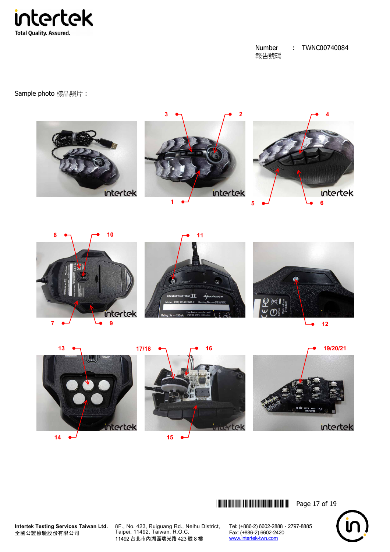

Sample photo 樣品照片 :















**THEFT READERS THE READER THRUSHOLD READER IN 1999** Page 17 of 19



**Intertek Testing Services Taiwan Ltd.** 全國公證檢驗股份有限公司

8F., No. 423, Ruiguang Rd., Neihu District, Taipei, 11492, Taiwan, R.O.C. 11492 台北市內湖區瑞光路 423 號 8 樓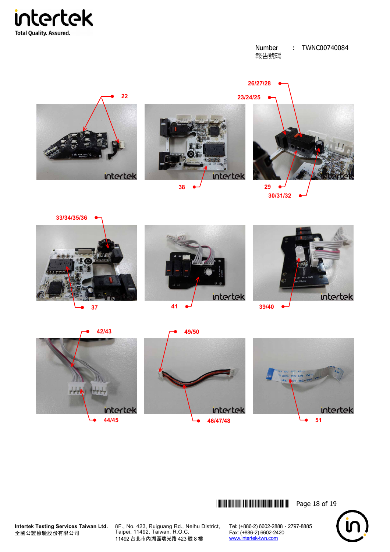













1 pl pl pl p

**THEA** 







**Intertek Testing Services Taiwan Ltd.** 全國公證檢驗股份有限公司

8F., No. 423, Ruiguang Rd., Neihu District, Taipei, 11492, Taiwan, R.O.C. 11492 台北市內湖區瑞光路 423 號 8 樓